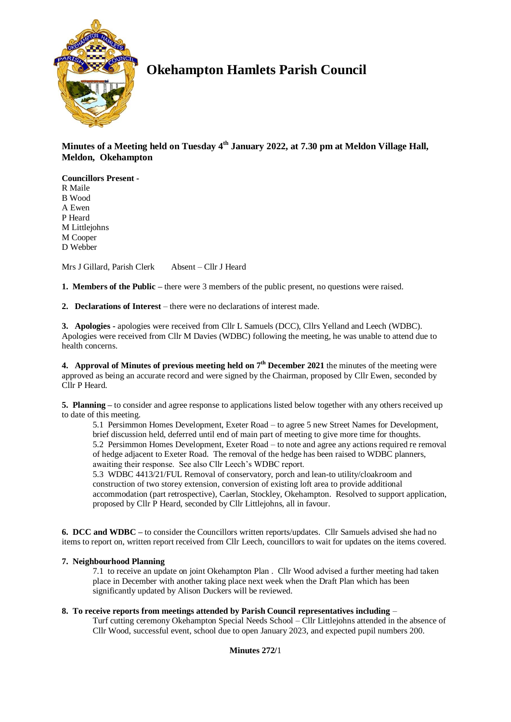

# **Okehampton Hamlets Parish Council**

**Minutes of a Meeting held on Tuesday 4 th January 2022, at 7.30 pm at Meldon Village Hall, Meldon, Okehampton**

**Councillors Present -** R Maile B Wood A Ewen P Heard M Littlejohns M Cooper D Webber

Mrs J Gillard, Parish Clerk Absent – Cllr J Heard

**1. Members of the Public –** there were 3 members of the public present, no questions were raised.

**2. Declarations of Interest** – there were no declarations of interest made.

**3. Apologies -** apologies were received from Cllr L Samuels (DCC), Cllrs Yelland and Leech (WDBC). Apologies were received from Cllr M Davies (WDBC) following the meeting, he was unable to attend due to health concerns.

**4.** Approval of Minutes of previous meeting held on  $7<sup>th</sup>$  December 2021 the minutes of the meeting were approved as being an accurate record and were signed by the Chairman, proposed by Cllr Ewen, seconded by Cllr P Heard.

**5. Planning –** to consider and agree response to applications listed below together with any others received up to date of this meeting.

5.1 Persimmon Homes Development, Exeter Road – to agree 5 new Street Names for Development, brief discussion held, deferred until end of main part of meeting to give more time for thoughts. 5.2 Persimmon Homes Development, Exeter Road – to note and agree any actions required re removal of hedge adjacent to Exeter Road. The removal of the hedge has been raised to WDBC planners, awaiting their response. See also Cllr Leech's WDBC report.

5.3 WDBC 4413/21/FUL Removal of conservatory, porch and lean-to utility/cloakroom and construction of two storey extension, conversion of existing loft area to provide additional accommodation (part retrospective), Caerlan, Stockley, Okehampton. Resolved to support application, proposed by Cllr P Heard, seconded by Cllr Littlejohns, all in favour.

**6. DCC and WDBC –** to consider the Councillors written reports/updates. Cllr Samuels advised she had no items to report on, written report received from Cllr Leech, councillors to wait for updates on the items covered.

# **7. Neighbourhood Planning**

7.1 to receive an update on joint Okehampton Plan . Cllr Wood advised a further meeting had taken place in December with another taking place next week when the Draft Plan which has been significantly updated by Alison Duckers will be reviewed.

### **8. To receive reports from meetings attended by Parish Council representatives including** –

Turf cutting ceremony Okehampton Special Needs School – Cllr Littlejohns attended in the absence of Cllr Wood, successful event, school due to open January 2023, and expected pupil numbers 200.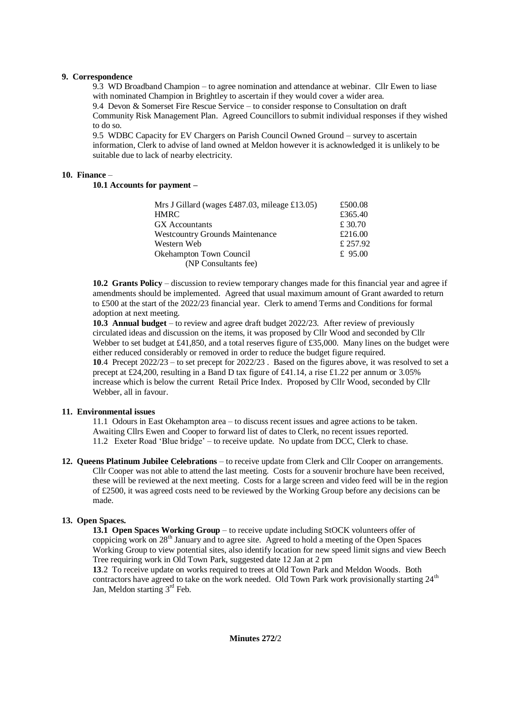## **9. Correspondence**

9.3 WD Broadband Champion – to agree nomination and attendance at webinar. Cllr Ewen to liase with nominated Champion in Brightley to ascertain if they would cover a wider area. 9.4 Devon & Somerset Fire Rescue Service – to consider response to Consultation on draft Community Risk Management Plan. Agreed Councillors to submit individual responses if they wished to do so.

9.5 WDBC Capacity for EV Chargers on Parish Council Owned Ground – survey to ascertain information, Clerk to advise of land owned at Meldon however it is acknowledged it is unlikely to be suitable due to lack of nearby electricity.

## **10. Finance** –

**10.1 Accounts for payment –**

| £500.08   |
|-----------|
| £365.40   |
| £ 30.70   |
| £216.00   |
| £ 257.92  |
| £ $95.00$ |
|           |
|           |

**10.2 Grants Policy** – discussion to review temporary changes made for this financial year and agree if amendments should be implemented. Agreed that usual maximum amount of Grant awarded to return to £500 at the start of the 2022/23 financial year. Clerk to amend Terms and Conditions for formal adoption at next meeting.

**10.3 Annual budget** – to review and agree draft budget 2022/23. After review of previously circulated ideas and discussion on the items, it was proposed by Cllr Wood and seconded by Cllr Webber to set budget at £41,850, and a total reserves figure of £35,000. Many lines on the budget were either reduced considerably or removed in order to reduce the budget figure required. **10**.4 Precept 2022/23 – to set precept for 2022/23 . Based on the figures above, it was resolved to set a precept at £24,200, resulting in a Band D tax figure of £41.14, a rise £1.22 per annum or 3.05% increase which is below the current Retail Price Index. Proposed by Cllr Wood, seconded by Cllr Webber, all in favour.

### **11. Environmental issues**

11.1 Odours in East Okehampton area – to discuss recent issues and agree actions to be taken. Awaiting Cllrs Ewen and Cooper to forward list of dates to Clerk, no recent issues reported. 11.2 Exeter Road 'Blue bridge' – to receive update. No update from DCC, Clerk to chase.

**12. Queens Platinum Jubilee Celebrations** – to receive update from Clerk and Cllr Cooper on arrangements. Cllr Cooper was not able to attend the last meeting. Costs for a souvenir brochure have been received, these will be reviewed at the next meeting. Costs for a large screen and video feed will be in the region of £2500, it was agreed costs need to be reviewed by the Working Group before any decisions can be made.

# **13. Open Spaces.**

**13.1 Open Spaces Working Group** – to receive update including StOCK volunteers offer of coppicing work on 28th January and to agree site. Agreed to hold a meeting of the Open Spaces Working Group to view potential sites, also identify location for new speed limit signs and view Beech Tree requiring work in Old Town Park, suggested date 12 Jan at 2 pm

**13**.2 To receive update on works required to trees at Old Town Park and Meldon Woods. Both contractors have agreed to take on the work needed. Old Town Park work provisionally starting 24<sup>th</sup> Jan, Meldon starting  $3<sup>rd</sup>$  Feb.